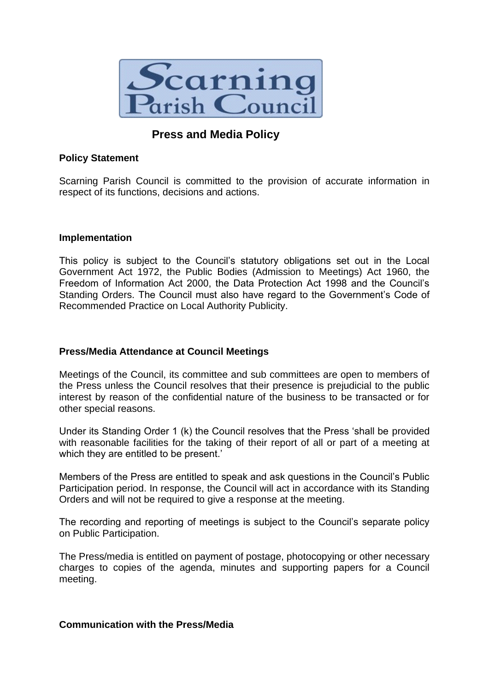

# **Press and Media Policy**

## **Policy Statement**

Scarning Parish Council is committed to the provision of accurate information in respect of its functions, decisions and actions.

### **Implementation**

This policy is subject to the Council's statutory obligations set out in the Local Government Act 1972, the Public Bodies (Admission to Meetings) Act 1960, the Freedom of Information Act 2000, the Data Protection Act 1998 and the Council's Standing Orders. The Council must also have regard to the Government's Code of Recommended Practice on Local Authority Publicity.

# **Press/Media Attendance at Council Meetings**

Meetings of the Council, its committee and sub committees are open to members of the Press unless the Council resolves that their presence is prejudicial to the public interest by reason of the confidential nature of the business to be transacted or for other special reasons.

Under its Standing Order 1 (k) the Council resolves that the Press 'shall be provided with reasonable facilities for the taking of their report of all or part of a meeting at which they are entitled to be present.'

Members of the Press are entitled to speak and ask questions in the Council's Public Participation period. In response, the Council will act in accordance with its Standing Orders and will not be required to give a response at the meeting.

The recording and reporting of meetings is subject to the Council's separate policy on Public Participation.

The Press/media is entitled on payment of postage, photocopying or other necessary charges to copies of the agenda, minutes and supporting papers for a Council meeting.

#### **Communication with the Press/Media**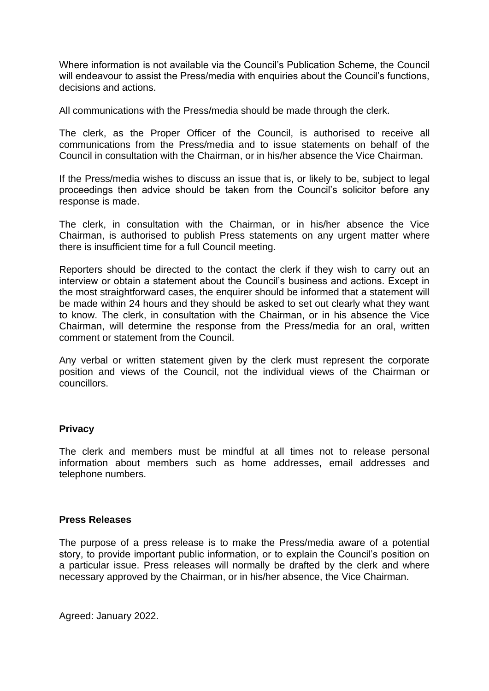Where information is not available via the Council's Publication Scheme, the Council will endeavour to assist the Press/media with enquiries about the Council's functions, decisions and actions.

All communications with the Press/media should be made through the clerk.

The clerk, as the Proper Officer of the Council, is authorised to receive all communications from the Press/media and to issue statements on behalf of the Council in consultation with the Chairman, or in his/her absence the Vice Chairman.

If the Press/media wishes to discuss an issue that is, or likely to be, subject to legal proceedings then advice should be taken from the Council's solicitor before any response is made.

The clerk, in consultation with the Chairman, or in his/her absence the Vice Chairman, is authorised to publish Press statements on any urgent matter where there is insufficient time for a full Council meeting.

Reporters should be directed to the contact the clerk if they wish to carry out an interview or obtain a statement about the Council's business and actions. Except in the most straightforward cases, the enquirer should be informed that a statement will be made within 24 hours and they should be asked to set out clearly what they want to know. The clerk, in consultation with the Chairman, or in his absence the Vice Chairman, will determine the response from the Press/media for an oral, written comment or statement from the Council.

Any verbal or written statement given by the clerk must represent the corporate position and views of the Council, not the individual views of the Chairman or councillors.

# **Privacy**

The clerk and members must be mindful at all times not to release personal information about members such as home addresses, email addresses and telephone numbers.

#### **Press Releases**

The purpose of a press release is to make the Press/media aware of a potential story, to provide important public information, or to explain the Council's position on a particular issue. Press releases will normally be drafted by the clerk and where necessary approved by the Chairman, or in his/her absence, the Vice Chairman.

Agreed: January 2022.